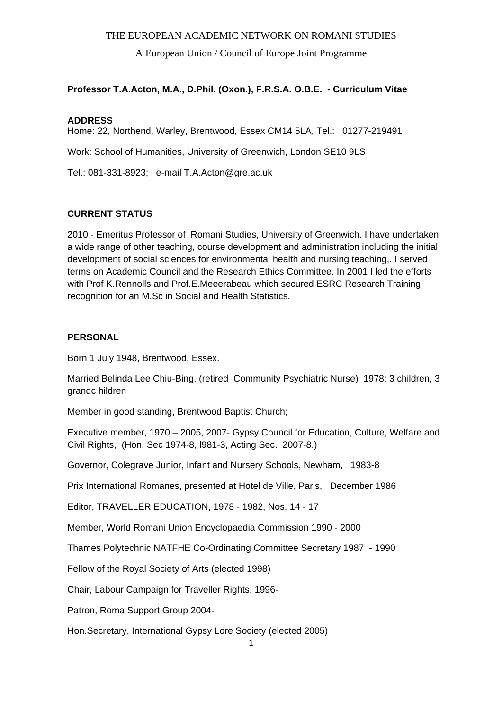A European Union / Council of Europe Joint Programme

# **Professor T.A.Acton, M.A., D.Phil. (Oxon.), F.R.S.A. O.B.E. - Curriculum Vitae**

## **ADDRESS**

Home: 22, Northend, Warley, Brentwood, Essex CM14 5LA, Tel.: 01277-219491

Work: School of Humanities, University of Greenwich, London SE10 9LS

Tel.: 081-331-8923; e-mail T.A.Acton@gre.ac.uk

## **CURRENT STATUS**

2010 - Emeritus Professor of Romani Studies, University of Greenwich. I have undertaken a wide range of other teaching, course development and administration including the initial development of social sciences for environmental health and nursing teaching,. I served terms on Academic Council and the Research Ethics Committee. In 2001 I led the efforts with Prof K.Rennolls and Prof.E.Meeerabeau which secured ESRC Research Training recognition for an M.Sc in Social and Health Statistics.

## **PERSONAL**

Born 1 July 1948, Brentwood, Essex.

Married Belinda Lee Chiu-Bing, (retired Community Psychiatric Nurse) 1978; 3 children, 3 grandc hildren

Member in good standing, Brentwood Baptist Church;

Executive member, 1970 – 2005, 2007- Gypsy Council for Education, Culture, Welfare and Civil Rights, (Hon. Sec 1974-8, l981-3, Acting Sec. 2007-8.)

Governor, Colegrave Junior, Infant and Nursery Schools, Newham, 1983-8

Prix International Romanes, presented at Hotel de Ville, Paris, December 1986

Editor, TRAVELLER EDUCATION, 1978 - 1982, Nos. 14 - 17

Member, World Romani Union Encyclopaedia Commission 1990 - 2000

Thames Polytechnic NATFHE Co-Ordinating Committee Secretary 1987 - 1990

Fellow of the Royal Society of Arts (elected 1998)

Chair, Labour Campaign for Traveller Rights, 1996-

Patron, Roma Support Group 2004-

Hon.Secretary, International Gypsy Lore Society (elected 2005)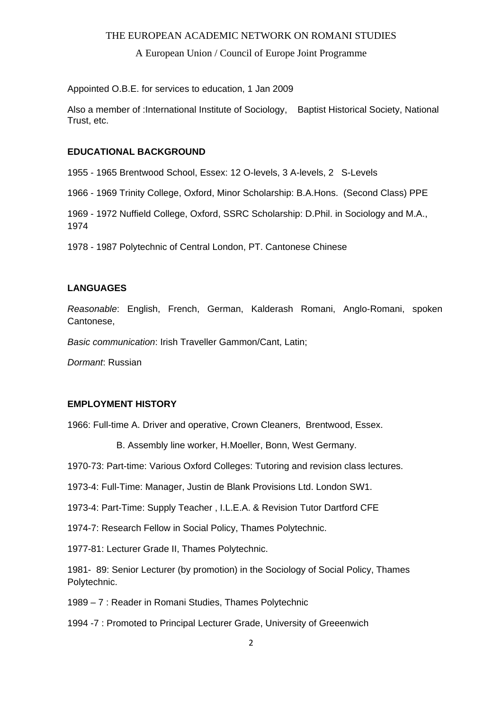A European Union / Council of Europe Joint Programme

Appointed O.B.E. for services to education, 1 Jan 2009

Also a member of :International Institute of Sociology, Baptist Historical Society, National Trust, etc.

## **EDUCATIONAL BACKGROUND**

1955 - 1965 Brentwood School, Essex: 12 O-levels, 3 A-levels, 2 S-Levels

1966 - 1969 Trinity College, Oxford, Minor Scholarship: B.A.Hons. (Second Class) PPE

1969 - 1972 Nuffield College, Oxford, SSRC Scholarship: D.Phil. in Sociology and M.A., 1974

1978 - 1987 Polytechnic of Central London, PT. Cantonese Chinese

## **LANGUAGES**

*Reasonable*: English, French, German, Kalderash Romani, Anglo-Romani, spoken Cantonese,

*Basic communication*: Irish Traveller Gammon/Cant, Latin;

*Dormant*: Russian

## **EMPLOYMENT HISTORY**

1966: Full-time A. Driver and operative, Crown Cleaners, Brentwood, Essex.

B. Assembly line worker, H.Moeller, Bonn, West Germany.

1970-73: Part-time: Various Oxford Colleges: Tutoring and revision class lectures.

1973-4: Full-Time: Manager, Justin de Blank Provisions Ltd. London SW1.

1973-4: Part-Time: Supply Teacher , I.L.E.A. & Revision Tutor Dartford CFE

1974-7: Research Fellow in Social Policy, Thames Polytechnic.

1977-81: Lecturer Grade II, Thames Polytechnic.

1981- 89: Senior Lecturer (by promotion) in the Sociology of Social Policy, Thames Polytechnic.

1989 – 7 : Reader in Romani Studies, Thames Polytechnic

1994 -7 : Promoted to Principal Lecturer Grade, University of Greeenwich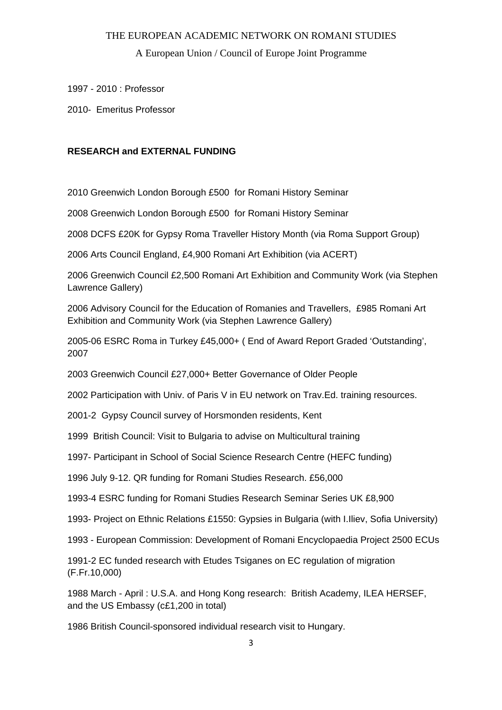## A European Union / Council of Europe Joint Programme

1997 - 2010 : Professor

2010- Emeritus Professor

## **RESEARCH and EXTERNAL FUNDING**

2010 Greenwich London Borough £500 for Romani History Seminar

2008 Greenwich London Borough £500 for Romani History Seminar

2008 DCFS £20K for Gypsy Roma Traveller History Month (via Roma Support Group)

2006 Arts Council England, £4,900 Romani Art Exhibition (via ACERT)

2006 Greenwich Council £2,500 Romani Art Exhibition and Community Work (via Stephen Lawrence Gallery)

2006 Advisory Council for the Education of Romanies and Travellers, £985 Romani Art Exhibition and Community Work (via Stephen Lawrence Gallery)

2005-06 ESRC Roma in Turkey £45,000+ ( End of Award Report Graded 'Outstanding', 2007

2003 Greenwich Council £27,000+ Better Governance of Older People

2002 Participation with Univ. of Paris V in EU network on Trav.Ed. training resources.

2001-2 Gypsy Council survey of Horsmonden residents, Kent

1999 British Council: Visit to Bulgaria to advise on Multicultural training

1997- Participant in School of Social Science Research Centre (HEFC funding)

1996 July 9-12. QR funding for Romani Studies Research. £56,000

1993-4 ESRC funding for Romani Studies Research Seminar Series UK £8,900

1993- Project on Ethnic Relations £1550: Gypsies in Bulgaria (with I.Iliev, Sofia University)

1993 - European Commission: Development of Romani Encyclopaedia Project 2500 ECUs

1991-2 EC funded research with Etudes Tsiganes on EC regulation of migration (F.Fr.10,000)

1988 March - April : U.S.A. and Hong Kong research: British Academy, ILEA HERSEF, and the US Embassy (c£1,200 in total)

1986 British Council-sponsored individual research visit to Hungary.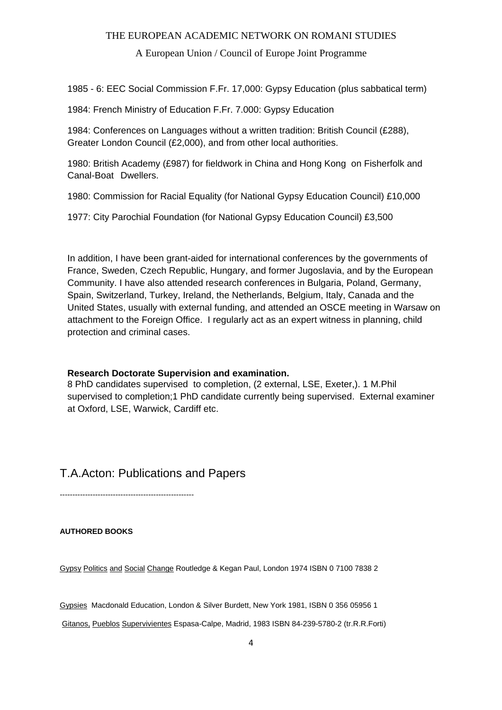A European Union / Council of Europe Joint Programme

1985 - 6: EEC Social Commission F.Fr. 17,000: Gypsy Education (plus sabbatical term)

1984: French Ministry of Education F.Fr. 7.000: Gypsy Education

1984: Conferences on Languages without a written tradition: British Council (£288), Greater London Council (£2,000), and from other local authorities.

1980: British Academy (£987) for fieldwork in China and Hong Kong on Fisherfolk and Canal-Boat Dwellers.

1980: Commission for Racial Equality (for National Gypsy Education Council) £10,000

1977: City Parochial Foundation (for National Gypsy Education Council) £3,500

In addition, I have been grant-aided for international conferences by the governments of France, Sweden, Czech Republic, Hungary, and former Jugoslavia, and by the European Community. I have also attended research conferences in Bulgaria, Poland, Germany, Spain, Switzerland, Turkey, Ireland, the Netherlands, Belgium, Italy, Canada and the United States, usually with external funding, and attended an OSCE meeting in Warsaw on attachment to the Foreign Office. I regularly act as an expert witness in planning, child protection and criminal cases.

### **Research Doctorate Supervision and examination.**

8 PhD candidates supervised to completion, (2 external, LSE, Exeter,). 1 M.Phil supervised to completion;1 PhD candidate currently being supervised. External examiner at Oxford, LSE, Warwick, Cardiff etc.

# T.A.Acton: Publications and Papers

-----------------------------------------------------

## **AUTHORED BOOKS**

Gypsy Politics and Social Change Routledge & Kegan Paul, London 1974 ISBN 0 7100 7838 2

Gypsies Macdonald Education, London & Silver Burdett, New York 1981, ISBN 0 356 05956 1

Gitanos, Pueblos Supervivientes Espasa-Calpe, Madrid, 1983 ISBN 84-239-5780-2 (tr.R.R.Forti)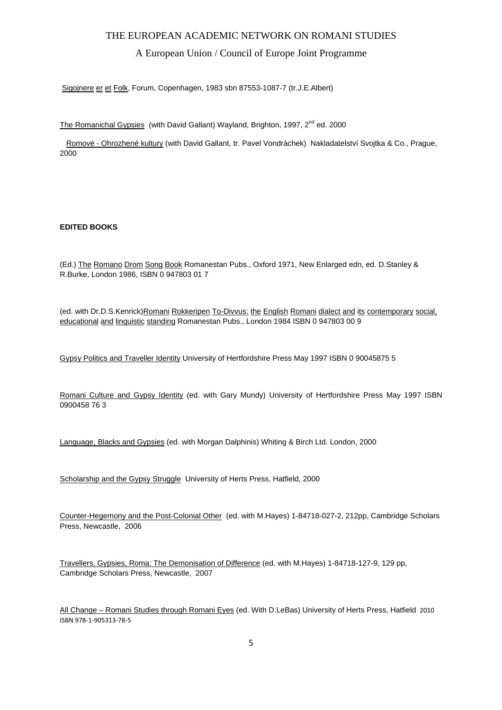### A European Union / Council of Europe Joint Programme

Sigojnere er et Folk, Forum, Copenhagen, 1983 sbn 87553-1087-7 (tr.J.E.Albert)

The Romanichal Gypsies (with David Gallant) Wayland, Brighton, 1997, 2<sup>nd</sup> ed. 2000

 Romové - Ohrozhené kultury (with David Gallant, tr. Pavel Vondràchek) Nakladatelství Svojtka & Co., Prague, 2000

#### **EDITED BOOKS**

(Ed.) The Romano Drom Song Book Romanestan Pubs., Oxford 1971, New Enlarged edn, ed. D.Stanley & R.Burke, London 1986, ISBN 0 947803 01 7

(ed. with Dr.D.S.Kenrick)Romani Rokkeripen To-Divvus: the English Romani dialect and its contemporary social, educational and linguistic standing Romanestan Pubs., London 1984 ISBN 0 947803 00 9

Gypsy Politics and Traveller Identity University of Hertfordshire Press May 1997 ISBN 0 90045875 5

Romani Culture and Gypsy Identity (ed. with Gary Mundy) University of Hertfordshire Press May 1997 ISBN 0900458 76 3

Language, Blacks and Gypsies (ed. with Morgan Dalphinis) Whiting & Birch Ltd. London, 2000

Scholarship and the Gypsy Struggle University of Herts Press, Hatfield, 2000

Counter-Hegemony and the Post-Colonial Other (ed. with M.Hayes) 1-84718-027-2, 212pp, Cambridge Scholars Press, Newcastle, 2006

Travellers, Gypsies, Roma: The Demonisation of Difference (ed. with M.Hayes) 1-84718-127-9, 129 pp, Cambridge Scholars Press, Newcastle, 2007

All Change – Romani Studies through Romani Eyes (ed. With D.LeBas) University of Herts Press, Hatfield 2010 ISBN 978-1-905313-78-5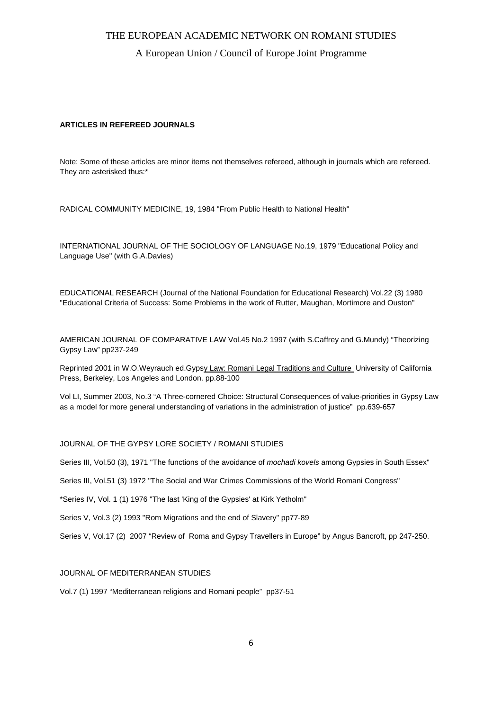### A European Union / Council of Europe Joint Programme

#### **ARTICLES IN REFEREED JOURNALS**

Note: Some of these articles are minor items not themselves refereed, although in journals which are refereed. They are asterisked thus:\*

RADICAL COMMUNITY MEDICINE, 19, 1984 "From Public Health to National Health"

INTERNATIONAL JOURNAL OF THE SOCIOLOGY OF LANGUAGE No.19, 1979 "Educational Policy and Language Use" (with G.A.Davies)

EDUCATIONAL RESEARCH (Journal of the National Foundation for Educational Research) Vol.22 (3) 1980 "Educational Criteria of Success: Some Problems in the work of Rutter, Maughan, Mortimore and Ouston"

AMERICAN JOURNAL OF COMPARATIVE LAW Vol.45 No.2 1997 (with S.Caffrey and G.Mundy) "Theorizing Gypsy Law" pp237-249

Reprinted 2001 in W.O.Weyrauch ed.Gypsy Law: Romani Legal Traditions and Culture University of California Press, Berkeley, Los Angeles and London. pp.88-100

Vol LI, Summer 2003, No.3 "A Three-cornered Choice: Structural Consequences of value-priorities in Gypsy Law as a model for more general understanding of variations in the administration of justice" pp.639-657

#### JOURNAL OF THE GYPSY LORE SOCIETY / ROMANI STUDIES

Series III, Vol.50 (3), 1971 "The functions of the avoidance of *mochadi kovels* among Gypsies in South Essex"

Series III, Vol.51 (3) 1972 "The Social and War Crimes Commissions of the World Romani Congress"

\*Series IV, Vol. 1 (1) 1976 "The last 'King of the Gypsies' at Kirk Yetholm"

Series V, Vol.3 (2) 1993 "Rom Migrations and the end of Slavery" pp77-89

Series V, Vol.17 (2) 2007 "Review of Roma and Gypsy Travellers in Europe" by Angus Bancroft, pp 247-250.

#### JOURNAL OF MEDITERRANEAN STUDIES

Vol.7 (1) 1997 "Mediterranean religions and Romani people" pp37-51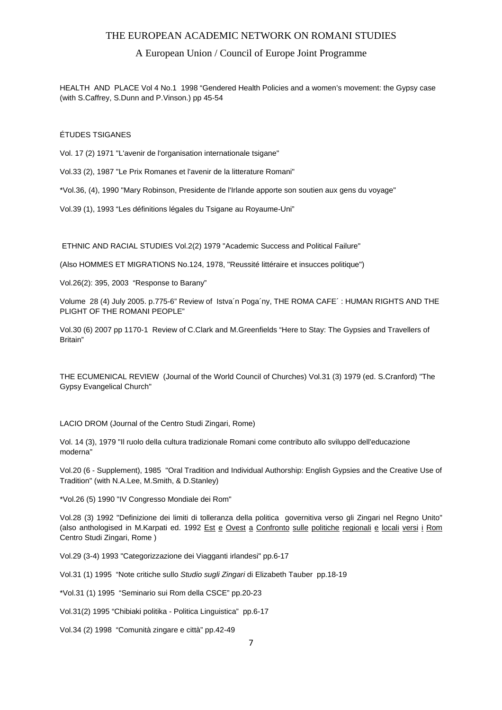#### A European Union / Council of Europe Joint Programme

HEALTH AND PLACE Vol 4 No.1 1998 "Gendered Health Policies and a women's movement: the Gypsy case (with S.Caffrey, S.Dunn and P.Vinson.) pp 45-54

#### ÉTUDES TSIGANES

Vol. 17 (2) 1971 "L'avenir de l'organisation internationale tsigane"

Vol.33 (2), 1987 "Le Prix Romanes et l'avenir de la litterature Romani"

\*Vol.36, (4), 1990 "Mary Robinson, Presidente de l'Irlande apporte son soutien aux gens du voyage"

Vol.39 (1), 1993 "Les définitions légales du Tsigane au Royaume-Uni"

ETHNIC AND RACIAL STUDIES Vol.2(2) 1979 "Academic Success and Political Failure"

(Also HOMMES ET MIGRATIONS No.124, 1978, "Reussité littéraire et insucces politique")

Vol.26(2): 395, 2003 "Response to Barany"

Volume 28 (4) July 2005. p.775-6" Review of Istva´n Poga´ny, THE ROMA CAFE´ : HUMAN RIGHTS AND THE PLIGHT OF THE ROMANI PEOPLE"

Vol.30 (6) 2007 pp 1170-1 Review of C.Clark and M.Greenfields "Here to Stay: The Gypsies and Travellers of Britain"

THE ECUMENICAL REVIEW (Journal of the World Council of Churches) Vol.31 (3) 1979 (ed. S.Cranford) "The Gypsy Evangelical Church"

LACIO DROM (Journal of the Centro Studi Zingari, Rome)

Vol. 14 (3), 1979 "Il ruolo della cultura tradizionale Romani come contributo allo sviluppo dell'educazione moderna"

Vol.20 (6 - Supplement), 1985 "Oral Tradition and Individual Authorship: English Gypsies and the Creative Use of Tradition" (with N.A.Lee, M.Smith, & D.Stanley)

\*Vol.26 (5) 1990 "IV Congresso Mondiale dei Rom"

Vol.28 (3) 1992 "Definizione dei limiti di tolleranza della politica governitiva verso gli Zingari nel Regno Unito" (also anthologised in M.Karpati ed. 1992 Est e Ovest a Confronto sulle politiche regionali e locali versi i Rom Centro Studi Zingari, Rome )

Vol.29 (3-4) 1993 "Categorizzazione dei Viagganti irlandesi" pp.6-17

Vol.31 (1) 1995 "Note critiche sullo *Studio sugli Zingari* di Elizabeth Tauber pp.18-19

\*Vol.31 (1) 1995 "Seminario sui Rom della CSCE" pp.20-23

Vol.31(2) 1995 "Chibiaki politika - Politica Linguistica" pp.6-17

Vol.34 (2) 1998 "Comunità zingare e città" pp.42-49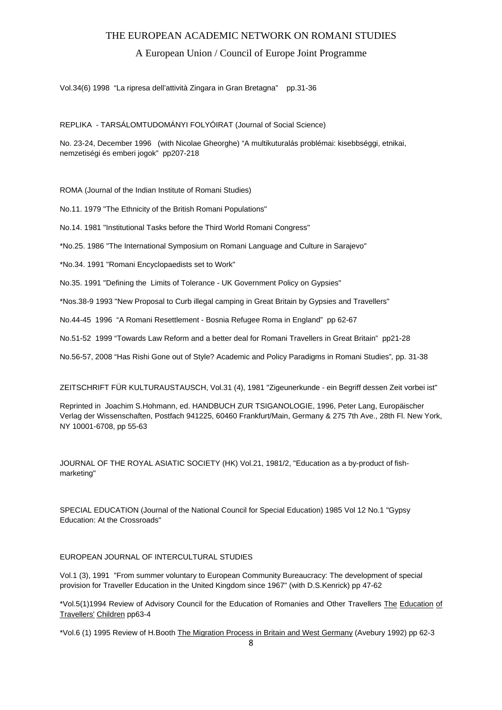#### A European Union / Council of Europe Joint Programme

Vol.34(6) 1998 "La ripresa dell'attività Zingara in Gran Bretagna" pp.31-36

REPLIKA - TARSÁLOMTUDOMÁNYI FOLYÓIRAT (Journal of Social Science)

No. 23-24, December 1996 (with Nicolae Gheorghe) "A multikuturalás problémai: kisebbséggi, etnikai, nemzetiségi és emberi jogok" pp207-218

ROMA (Journal of the Indian Institute of Romani Studies)

No.11. 1979 "The Ethnicity of the British Romani Populations"

No.14. 1981 "Institutional Tasks before the Third World Romani Congress"

\*No.25. 1986 "The International Symposium on Romani Language and Culture in Sarajevo"

\*No.34. 1991 "Romani Encyclopaedists set to Work"

No.35. 1991 "Defining the Limits of Tolerance - UK Government Policy on Gypsies"

\*Nos.38-9 1993 "New Proposal to Curb illegal camping in Great Britain by Gypsies and Travellers"

No.44-45 1996 "A Romani Resettlement - Bosnia Refugee Roma in England" pp 62-67

No.51-52 1999 "Towards Law Reform and a better deal for Romani Travellers in Great Britain" pp21-28

No.56-57, 2008 "Has Rishi Gone out of Style? Academic and Policy Paradigms in Romani Studies"*,* pp. 31-38

ZEITSCHRIFT FÜR KULTURAUSTAUSCH, Vol.31 (4), 1981 "Zigeunerkunde - ein Begriff dessen Zeit vorbei ist"

Reprinted in Joachim S.Hohmann, ed. HANDBUCH ZUR TSIGANOLOGIE, 1996, Peter Lang, Europäischer Verlag der Wissenschaften, Postfach 941225, 60460 Frankfurt/Main, Germany & 275 7th Ave., 28th Fl. New York, NY 10001-6708, pp 55-63

JOURNAL OF THE ROYAL ASIATIC SOCIETY (HK) Vol.21, 1981/2, "Education as a by-product of fishmarketing"

SPECIAL EDUCATION (Journal of the National Council for Special Education) 1985 Vol 12 No.1 "Gypsy Education: At the Crossroads"

#### EUROPEAN JOURNAL OF INTERCULTURAL STUDIES

Vol.1 (3), 1991 "From summer voluntary to European Community Bureaucracy: The development of special provision for Traveller Education in the United Kingdom since 1967" (with D.S.Kenrick) pp 47-62

\*Vol.5(1)1994 Review of Advisory Council for the Education of Romanies and Other Travellers The Education of Travellers' Children pp63-4

\*Vol.6 (1) 1995 Review of H.Booth The Migration Process in Britain and West Germany (Avebury 1992) pp 62-3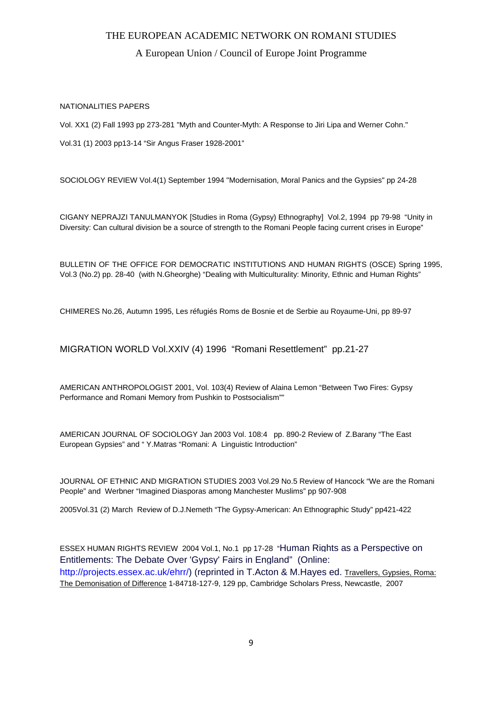### A European Union / Council of Europe Joint Programme

#### NATIONALITIES PAPERS

Vol. XX1 (2) Fall 1993 pp 273-281 "Myth and Counter-Myth: A Response to Jiri Lipa and Werner Cohn."

Vol.31 (1) 2003 pp13-14 "Sir Angus Fraser 1928-2001"

SOCIOLOGY REVIEW Vol.4(1) September 1994 "Modernisation, Moral Panics and the Gypsies" pp 24-28

CIGANY NEPRAJZI TANULMANYOK [Studies in Roma (Gypsy) Ethnography] Vol.2, 1994 pp 79-98 "Unity in Diversity: Can cultural division be a source of strength to the Romani People facing current crises in Europe"

BULLETIN OF THE OFFICE FOR DEMOCRATIC INSTITUTIONS AND HUMAN RIGHTS (OSCE) Spring 1995, Vol.3 (No.2) pp. 28-40 (with N.Gheorghe) "Dealing with Multiculturality: Minority, Ethnic and Human Rights"

CHIMERES No.26, Autumn 1995, Les réfugiés Roms de Bosnie et de Serbie au Royaume-Uni, pp 89-97

### MIGRATION WORLD Vol.XXIV (4) 1996 "Romani Resettlement" pp.21-27

AMERICAN ANTHROPOLOGIST 2001, Vol. 103(4) Review of Alaina Lemon "Between Two Fires: Gypsy Performance and Romani Memory from Pushkin to Postsocialism""

AMERICAN JOURNAL OF SOCIOLOGY Jan 2003 Vol. 108:4 pp. 890-2 Review of Z.Barany "The East European Gypsies" and " Y.Matras "Romani: A Linguistic Introduction"

JOURNAL OF ETHNIC AND MIGRATION STUDIES 2003 Vol.29 No.5 Review of Hancock "We are the Romani People" and Werbner "Imagined Diasporas among Manchester Muslims" pp 907-908

2005Vol.31 (2) March Review of D.J.Nemeth "The Gypsy-American: An Ethnographic Study" pp421-422

ESSEX HUMAN RIGHTS REVIEW 2004 Vol.1, No.1 pp 17-28 "Human Rights as a Perspective on Entitlements: The Debate Over 'Gypsy' Fairs in England" (Online: http://projects.essex.ac.uk/ehrr/) (reprinted in T.Acton & M.Hayes ed. Travellers, Gypsies, Roma: The Demonisation of Difference 1-84718-127-9, 129 pp, Cambridge Scholars Press, Newcastle, 2007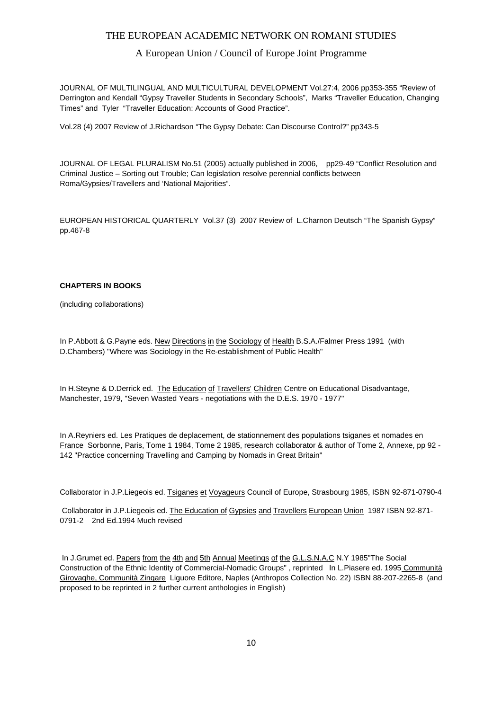### A European Union / Council of Europe Joint Programme

JOURNAL OF MULTILINGUAL AND MULTICULTURAL DEVELOPMENT Vol.27:4, 2006 pp353-355 "Review of Derrington and Kendall "Gypsy Traveller Students in Secondary Schools", Marks "Traveller Education, Changing Times" and Tyler "Traveller Education: Accounts of Good Practice".

Vol.28 (4) 2007 Review of J.Richardson "The Gypsy Debate: Can Discourse Control?" pp343-5

JOURNAL OF LEGAL PLURALISM No.51 (2005) actually published in 2006, pp29-49 "Conflict Resolution and Criminal Justice – Sorting out Trouble; Can legislation resolve perennial conflicts between Roma/Gypsies/Travellers and 'National Majorities".

EUROPEAN HISTORICAL QUARTERLY Vol.37 (3) 2007 Review of L.Charnon Deutsch "The Spanish Gypsy" pp.467-8

#### **CHAPTERS IN BOOKS**

(including collaborations)

In P.Abbott & G.Payne eds. New Directions in the Sociology of Health B.S.A./Falmer Press 1991 (with D.Chambers) "Where was Sociology in the Re-establishment of Public Health"

In H.Steyne & D.Derrick ed. The Education of Travellers' Children Centre on Educational Disadvantage, Manchester, 1979, "Seven Wasted Years - negotiations with the D.E.S. 1970 - 1977"

In A.Reyniers ed. Les Pratiques de deplacement, de stationnement des populations tsiganes et nomades en France Sorbonne, Paris, Tome 1 1984, Tome 2 1985, research collaborator & author of Tome 2, Annexe, pp 92 - 142 "Practice concerning Travelling and Camping by Nomads in Great Britain"

Collaborator in J.P.Liegeois ed. Tsiganes et Voyageurs Council of Europe, Strasbourg 1985, ISBN 92-871-0790-4

 Collaborator in J.P.Liegeois ed. The Education of Gypsies and Travellers European Union 1987 ISBN 92-871- 0791-2 2nd Ed.1994 Much revised

In J.Grumet ed. Papers from the 4th and 5th Annual Meetings of the G.L.S.N.A.C N.Y 1985"The Social Construction of the Ethnic Identity of Commercial-Nomadic Groups" , reprinted In L.Piasere ed. 1995 Communità Girovaghe, Communità Zingare Liguore Editore, Naples (Anthropos Collection No. 22) ISBN 88-207-2265-8 (and proposed to be reprinted in 2 further current anthologies in English)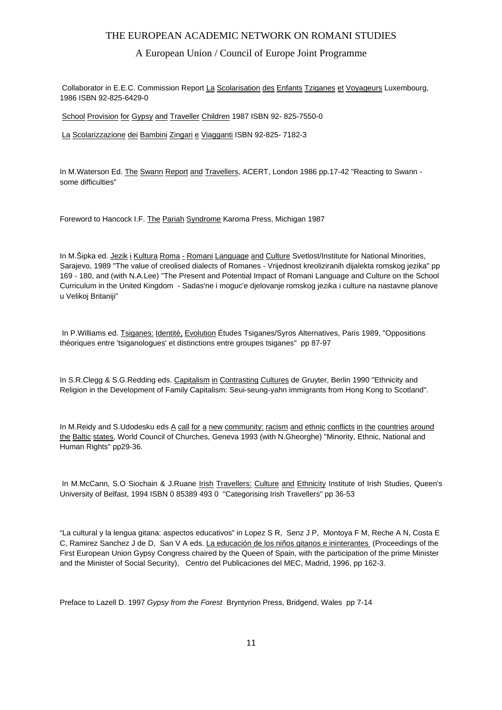### A European Union / Council of Europe Joint Programme

Collaborator in E.E.C. Commission Report La Scolarisation des Enfants Tziganes et Voyageurs Luxembourg, 1986 ISBN 92-825-6429-0

School Provision for Gypsy and Traveller Children 1987 ISBN 92-825-7550-0

La Scolarizzazione dei Bambini Zingari e Viagganti ISBN 92-825- 7182-3

In M.Waterson Ed. The Swann Report and Travellers, ACERT, London 1986 pp.17-42 "Reacting to Swann some difficulties"

Foreword to Hancock I.F. The Pariah Syndrome Karoma Press, Michigan 1987

In M.Šipka ed. Jezik i Kultura Roma - Romani Language and Culture Svetlost/Institute for National Minorities, Sarajevo, 1989 "The value of creolised dialects of Romanes - Vrijednost kreoliziranih dijalekta romskog jezika" pp 169 - 180, and (with N.A.Lee) "The Present and Potential Impact of Romani Language and Culture on the School Curriculum in the United Kingdom - Sadas'ne i moguc'e djelovanje romskog jezika i culture na nastavne planove u Velikoj Britaniji"

In P. Williams ed. Tsiganes: Identité, Evolution Études Tsiganes/Syros Alternatives, Paris 1989, "Oppositions théoriques entre 'tsiganologues' et distinctions entre groupes tsiganes" pp 87-97

In S.R.Clegg & S.G.Redding eds. Capitalism in Contrasting Cultures de Gruyter, Berlin 1990 "Ethnicity and Religion in the Development of Family Capitalism: Seui-seung-yahn immigrants from Hong Kong to Scotland".

In M.Reidy and S.Udodesku eds A call for a new community: racism and ethnic conflicts in the countries around the Baltic states, World Council of Churches, Geneva 1993 (with N.Gheorghe) "Minority, Ethnic, National and Human Rights" pp29-36.

In M.McCann, S.O Siochain & J.Ruane Irish Travellers: Culture and Ethnicity Institute of Irish Studies, Queen's University of Belfast, 1994 ISBN 0 85389 493 0 "Categorising Irish Travellers" pp 36-53

"La cultural y la lengua gitana: aspectos educativos" in Lopez S R, Senz J P, Montoya F M, Reche A N, Costa E C, Ramirez Sanchez J de D, San V A eds. La educación de los niños gitanos e ininterantes (Proceedings of the First European Union Gypsy Congress chaired by the Queen of Spain, with the participation of the prime Minister and the Minister of Social Security), Centro del Publicaciones del MEC, Madrid, 1996, pp 162-3.

Preface to Lazell D. 1997 *Gypsy from the Forest* Bryntyrion Press, Bridgend, Wales pp 7-14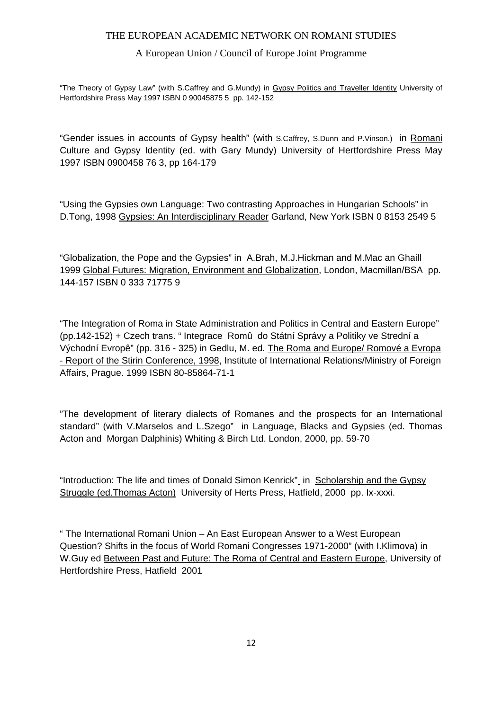## A European Union / Council of Europe Joint Programme

"The Theory of Gypsy Law" (with S.Caffrey and G.Mundy) in Gypsy Politics and Traveller Identity University of Hertfordshire Press May 1997 ISBN 0 90045875 5 pp. 142-152

"Gender issues in accounts of Gypsy health" (with S.Caffrey, S.Dunn and P.Vinson.) in Romani Culture and Gypsy Identity (ed. with Gary Mundy) University of Hertfordshire Press May 1997 ISBN 0900458 76 3, pp 164-179

"Using the Gypsies own Language: Two contrasting Approaches in Hungarian Schools" in D.Tong, 1998 Gypsies: An Interdisciplinary Reader Garland, New York ISBN 0 8153 2549 5

"Globalization, the Pope and the Gypsies" in A.Brah, M.J.Hickman and M.Mac an Ghaill 1999 Global Futures: Migration, Environment and Globalization, London, Macmillan/BSA pp. 144-157 ISBN 0 333 71775 9

"The Integration of Roma in State Administration and Politics in Central and Eastern Europe" (pp.142-152) + Czech trans. " Integrace Romû do Státní Správy a Politiky ve Strední a Východní Evropê" (pp. 316 - 325) in Gedlu, M. ed. The Roma and Europe/ Romové a Evropa - Report of the Stirin Conference, 1998, Institute of International Relations/Ministry of Foreign Affairs, Prague. 1999 ISBN 80-85864-71-1

"The development of literary dialects of Romanes and the prospects for an International standard" (with V.Marselos and L.Szego" in Language, Blacks and Gypsies (ed. Thomas Acton and Morgan Dalphinis) Whiting & Birch Ltd. London, 2000, pp. 59-70

"Introduction: The life and times of Donald Simon Kenrick" in Scholarship and the Gypsy Struggle (ed.Thomas Acton) University of Herts Press, Hatfield, 2000 pp. Ix-xxxi.

" The International Romani Union – An East European Answer to a West European Question? Shifts in the focus of World Romani Congresses 1971-2000" (with I.Klimova) in W.Guy ed Between Past and Future: The Roma of Central and Eastern Europe, University of Hertfordshire Press, Hatfield 2001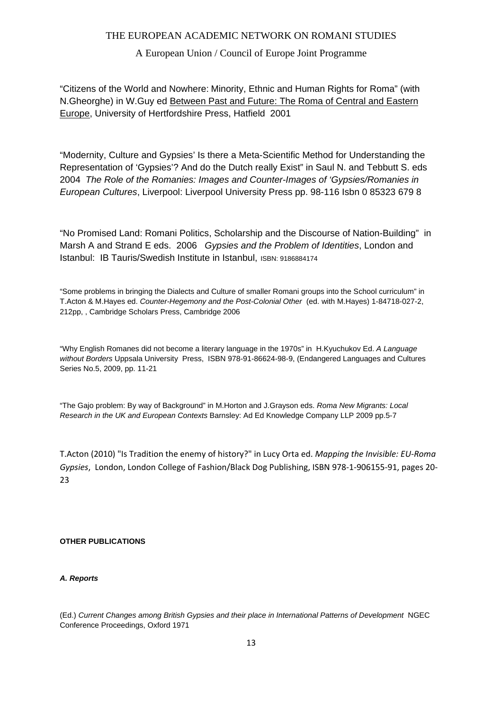## A European Union / Council of Europe Joint Programme

"Citizens of the World and Nowhere: Minority, Ethnic and Human Rights for Roma" (with N.Gheorghe) in W.Guy ed Between Past and Future: The Roma of Central and Eastern Europe, University of Hertfordshire Press, Hatfield 2001

"Modernity, Culture and Gypsies' Is there a Meta-Scientific Method for Understanding the Representation of 'Gypsies'? And do the Dutch really Exist" in Saul N. and Tebbutt S. eds 2004 *The Role of the Romanies: Images and Counter-Images of 'Gypsies/Romanies in European Cultures*, Liverpool: Liverpool University Press pp. 98-116 Isbn 0 85323 679 8

"No Promised Land: Romani Politics, Scholarship and the Discourse of Nation-Building" in Marsh A and Strand E eds. 2006 *Gypsies and the Problem of Identities*, London and Istanbul: IB Tauris/Swedish Institute in Istanbul, ISBN: 9186884174

"Some problems in bringing the Dialects and Culture of smaller Romani groups into the School curriculum" in T.Acton & M.Hayes ed. *Counter-Hegemony and the Post-Colonial Other* (ed. with M.Hayes) 1-84718-027-2, 212pp, , Cambridge Scholars Press, Cambridge 2006

"Why English Romanes did not become a literary language in the 1970s" in H.Kyuchukov Ed. *A Language without Borders* Uppsala University Press, ISBN 978-91-86624-98-9, (Endangered Languages and Cultures Series No.5, 2009, pp. 11-21

"The Gajo problem: By way of Background" in M.Horton and J.Grayson eds. *Roma New Migrants: Local Research in the UK and European Contexts* Barnsley: Ad Ed Knowledge Company LLP 2009 pp.5-7

T.Acton (2010) "Is Tradition the enemy of history?" in Lucy Orta ed. *Mapping the Invisible: EU-Roma Gypsies*, London, London College of Fashion/Black Dog Publishing, ISBN 978-1-906155-91, pages 20- 23

#### **OTHER PUBLICATIONS**

### *A. Reports*

(Ed.) *Current Changes among British Gypsies and their place in International Patterns of Development* NGEC Conference Proceedings, Oxford 1971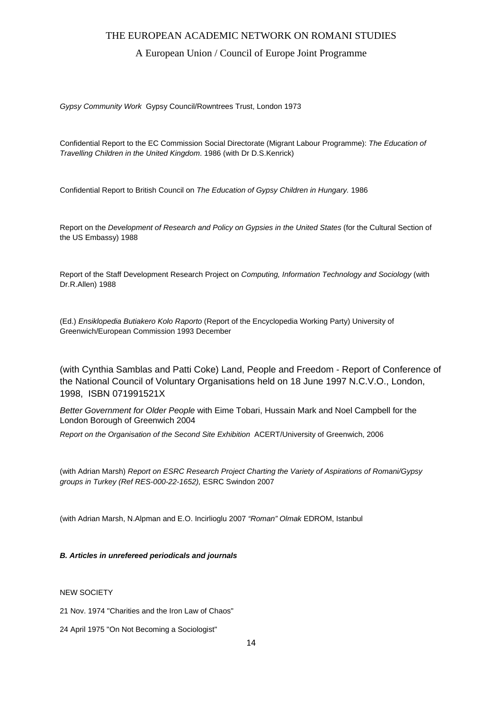### A European Union / Council of Europe Joint Programme

*Gypsy Community Work* Gypsy Council/Rowntrees Trust, London 1973

Confidential Report to the EC Commission Social Directorate (Migrant Labour Programme): *The Education of Travelling Children in the United Kingdom*. 1986 (with Dr D.S.Kenrick)

Confidential Report to British Council on *The Education of Gypsy Children in Hungary.* 1986

Report on the *Development of Research and Policy on Gypsies in the United States* (for the Cultural Section of the US Embassy) 1988

Report of the Staff Development Research Project on *Computing, Information Technology and Sociology* (with Dr.R.Allen) 1988

(Ed.) *Ensiklopedia Butiakero Kolo Raporto* (Report of the Encyclopedia Working Party) University of Greenwich/European Commission 1993 December

(with Cynthia Samblas and Patti Coke) Land, People and Freedom - Report of Conference of the National Council of Voluntary Organisations held on 18 June 1997 N.C.V.O., London, 1998, ISBN 071991521X

*Better Government for Older People* with Eime Tobari, Hussain Mark and Noel Campbell for the London Borough of Greenwich 2004

*Report on the Organisation of the Second Site Exhibition* ACERT/University of Greenwich, 2006

(with Adrian Marsh) *Report on ESRC Research Project Charting the Variety of Aspirations of Romani/Gypsy groups in Turkey (Ref RES-000-22-1652),* ESRC Swindon 2007

(with Adrian Marsh, N.Alpman and E.O. Incirlioglu 2007 *"Roman" Olmak* EDROM, Istanbul

*B. Articles in unrefereed periodicals and journals*

NEW SOCIETY

21 Nov. 1974 "Charities and the Iron Law of Chaos"

24 April 1975 "On Not Becoming a Sociologist"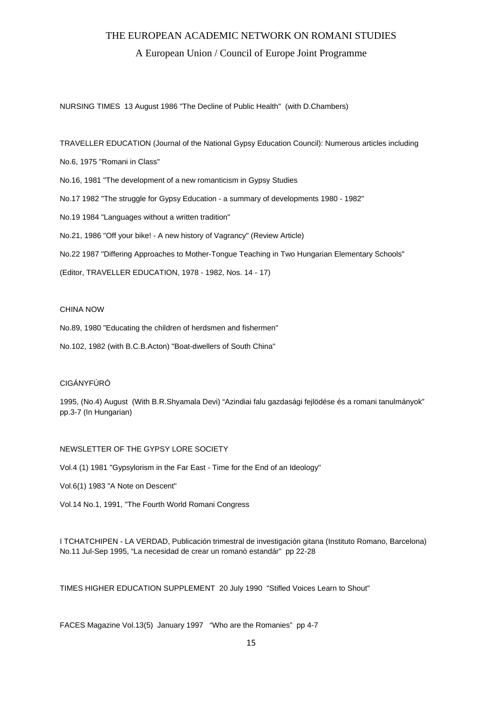#### A European Union / Council of Europe Joint Programme

NURSING TIMES 13 August 1986 "The Decline of Public Health" (with D.Chambers)

TRAVELLER EDUCATION (Journal of the National Gypsy Education Council): Numerous articles including No.6, 1975 "Romani in Class" No.16, 1981 "The development of a new romanticism in Gypsy Studies No.17 1982 "The struggle for Gypsy Education - a summary of developments 1980 - 1982" No.19 1984 "Languages without a written tradition" No.21, 1986 "Off your bike! - A new history of Vagrancy" (Review Article) No.22 1987 "Differing Approaches to Mother-Tongue Teaching in Two Hungarian Elementary Schools"

(Editor, TRAVELLER EDUCATION, 1978 - 1982, Nos. 14 - 17)

#### CHINA NOW

No.89, 1980 "Educating the children of herdsmen and fishermen"

No.102, 1982 (with B.C.B.Acton) "Boat-dwellers of South China"

#### CIGÁNYFÚRÓ

1995, (No.4) August (With B.R.Shyamala Devi) "Azindiai falu gazdasági fejlödése és a romani tanulmányok" pp.3-7 (In Hungarian)

#### NEWSLETTER OF THE GYPSY LORE SOCIETY

Vol.4 (1) 1981 "Gypsylorism in the Far East - Time for the End of an Ideology"

Vol.6(1) 1983 "A Note on Descent"

Vol.14 No.1, 1991, "The Fourth World Romani Congress

I TCHATCHIPEN - LA VERDAD, Publicación trimestral de investigación gitana (Instituto Romano, Barcelona) No.11 Jul-Sep 1995, "La necesidad de crear un romanò estandár" pp 22-28

TIMES HIGHER EDUCATION SUPPLEMENT 20 July 1990 "Stifled Voices Learn to Shout"

FACES Magazine Vol.13(5) January 1997 "Who are the Romanies" pp 4-7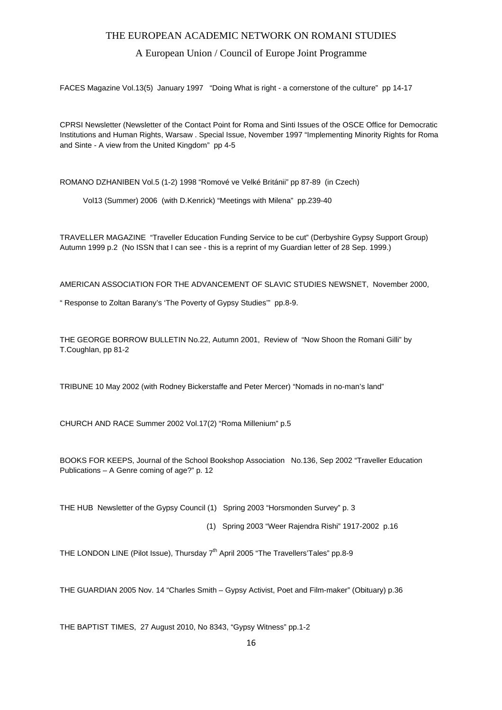### A European Union / Council of Europe Joint Programme

FACES Magazine Vol.13(5) January 1997 "Doing What is right - a cornerstone of the culture" pp 14-17

CPRSI Newsletter (Newsletter of the Contact Point for Roma and Sinti Issues of the OSCE Office for Democratic Institutions and Human Rights, Warsaw . Special Issue, November 1997 "Implementing Minority Rights for Roma and Sinte - A view from the United Kingdom" pp 4-5

ROMANO DZHANIBEN Vol.5 (1-2) 1998 "Romové ve Velké Británii" pp 87-89 (in Czech)

Vol13 (Summer) 2006 (with D.Kenrick) "Meetings with Milena" pp.239-40

TRAVELLER MAGAZINE "Traveller Education Funding Service to be cut" (Derbyshire Gypsy Support Group) Autumn 1999 p.2 (No ISSN that I can see - this is a reprint of my Guardian letter of 28 Sep. 1999.)

AMERICAN ASSOCIATION FOR THE ADVANCEMENT OF SLAVIC STUDIES NEWSNET, November 2000,

" Response to Zoltan Barany's 'The Poverty of Gypsy Studies'" pp.8-9.

THE GEORGE BORROW BULLETIN No.22, Autumn 2001, Review of "Now Shoon the Romani Gilli" by T.Coughlan, pp 81-2

TRIBUNE 10 May 2002 (with Rodney Bickerstaffe and Peter Mercer) "Nomads in no-man's land"

CHURCH AND RACE Summer 2002 Vol.17(2) "Roma Millenium" p.5

BOOKS FOR KEEPS, Journal of the School Bookshop Association No.136, Sep 2002 "Traveller Education Publications – A Genre coming of age?" p. 12

THE HUB Newsletter of the Gypsy Council (1) Spring 2003 "Horsmonden Survey" p. 3

(1) Spring 2003 "Weer Rajendra Rishi" 1917-2002 p.16

THE LONDON LINE (Pilot Issue), Thursday 7<sup>th</sup> April 2005 "The Travellers'Tales" pp.8-9

THE GUARDIAN 2005 Nov. 14 "Charles Smith – Gypsy Activist, Poet and Film-maker" (Obituary) p.36

THE BAPTIST TIMES, 27 August 2010, No 8343, "Gypsy Witness" pp.1-2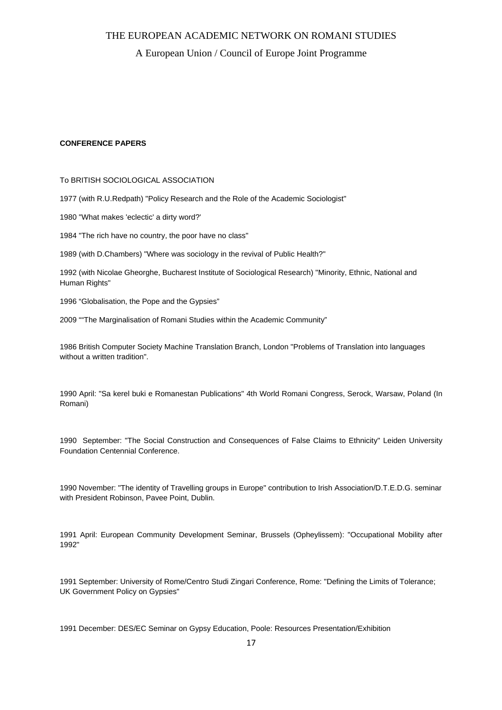### A European Union / Council of Europe Joint Programme

#### **CONFERENCE PAPERS**

#### To BRITISH SOCIOLOGICAL ASSOCIATION

1977 (with R.U.Redpath) "Policy Research and the Role of the Academic Sociologist"

1980 "What makes 'eclectic' a dirty word?'

1984 "The rich have no country, the poor have no class"

1989 (with D.Chambers) "Where was sociology in the revival of Public Health?"

1992 (with Nicolae Gheorghe, Bucharest Institute of Sociological Research) "Minority, Ethnic, National and Human Rights"

1996 "Globalisation, the Pope and the Gypsies"

2009 ""The Marginalisation of Romani Studies within the Academic Community"

1986 British Computer Society Machine Translation Branch, London "Problems of Translation into languages without a written tradition".

1990 April: "Sa kerel buki e Romanestan Publications" 4th World Romani Congress, Serock, Warsaw, Poland (In Romani)

1990 September: "The Social Construction and Consequences of False Claims to Ethnicity" Leiden University Foundation Centennial Conference.

1990 November: "The identity of Travelling groups in Europe" contribution to Irish Association/D.T.E.D.G. seminar with President Robinson, Pavee Point, Dublin.

1991 April: European Community Development Seminar, Brussels (Opheylissem): "Occupational Mobility after 1992"

1991 September: University of Rome/Centro Studi Zingari Conference, Rome: "Defining the Limits of Tolerance; UK Government Policy on Gypsies"

1991 December: DES/EC Seminar on Gypsy Education, Poole: Resources Presentation/Exhibition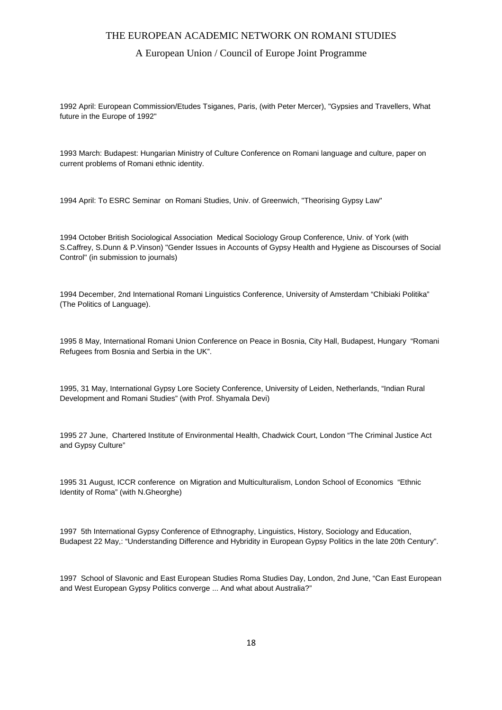#### A European Union / Council of Europe Joint Programme

1992 April: European Commission/Etudes Tsiganes, Paris, (with Peter Mercer), "Gypsies and Travellers, What future in the Europe of 1992"

1993 March: Budapest: Hungarian Ministry of Culture Conference on Romani language and culture, paper on current problems of Romani ethnic identity.

1994 April: To ESRC Seminar on Romani Studies, Univ. of Greenwich, "Theorising Gypsy Law"

1994 October British Sociological Association Medical Sociology Group Conference, Univ. of York (with S.Caffrey, S.Dunn & P.Vinson) "Gender Issues in Accounts of Gypsy Health and Hygiene as Discourses of Social Control" (in submission to journals)

1994 December, 2nd International Romani Linguistics Conference, University of Amsterdam "Chibiaki Politika" (The Politics of Language).

1995 8 May, International Romani Union Conference on Peace in Bosnia, City Hall, Budapest, Hungary "Romani Refugees from Bosnia and Serbia in the UK".

1995, 31 May, International Gypsy Lore Society Conference, University of Leiden, Netherlands, "Indian Rural Development and Romani Studies" (with Prof. Shyamala Devi)

1995 27 June, Chartered Institute of Environmental Health, Chadwick Court, London "The Criminal Justice Act and Gypsy Culture"

1995 31 August, ICCR conference on Migration and Multiculturalism, London School of Economics "Ethnic Identity of Roma" (with N.Gheorghe)

1997 5th International Gypsy Conference of Ethnography, Linguistics, History, Sociology and Education, Budapest 22 May,: "Understanding Difference and Hybridity in European Gypsy Politics in the late 20th Century".

1997 School of Slavonic and East European Studies Roma Studies Day, London, 2nd June, "Can East European and West European Gypsy Politics converge ... And what about Australia?"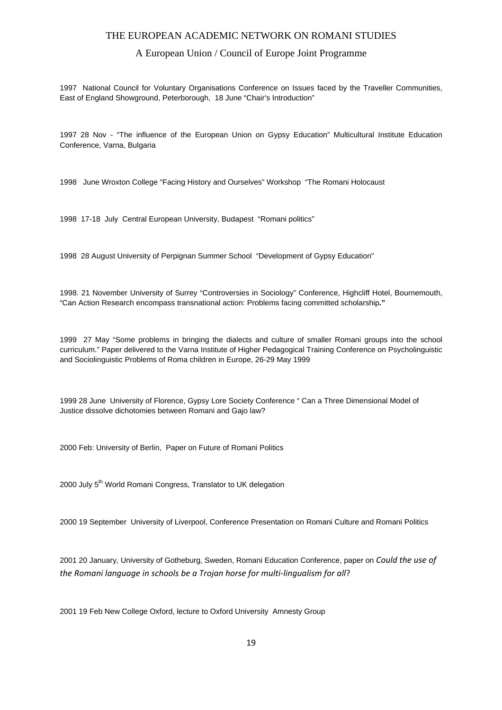### A European Union / Council of Europe Joint Programme

1997 National Council for Voluntary Organisations Conference on Issues faced by the Traveller Communities, East of England Showground, Peterborough, 18 June "Chair's Introduction"

1997 28 Nov - "The influence of the European Union on Gypsy Education" Multicultural Institute Education Conference, Varna, Bulgaria

1998 June Wroxton College "Facing History and Ourselves" Workshop "The Romani Holocaust

1998 17-18 July Central European University, Budapest "Romani politics"

1998 28 August University of Perpignan Summer School "Development of Gypsy Education"

1998. 21 November University of Surrey "Controversies in Sociology" Conference, Highcliff Hotel, Bournemouth, "Can Action Research encompass transnational action: Problems facing committed scholarship**."** 

1999 27 May "Some problems in bringing the dialects and culture of smaller Romani groups into the school curriculum." Paper delivered to the Varna Institute of Higher Pedagogical Training Conference on Psycholinguistic and Sociolinguistic Problems of Roma children in Europe, 26-29 May 1999

1999 28 June University of Florence, Gypsy Lore Society Conference " Can a Three Dimensional Model of Justice dissolve dichotomies between Romani and Gajo law?

2000 Feb: University of Berlin, Paper on Future of Romani Politics

2000 July 5<sup>th</sup> World Romani Congress, Translator to UK delegation

2000 19 September University of Liverpool, Conference Presentation on Romani Culture and Romani Politics

2001 20 January, University of Gotheburg, Sweden, Romani Education Conference, paper on *Could the use of the Romani language in schools be a Trojan horse for multi-lingualism for all*?

2001 19 Feb New College Oxford, lecture to Oxford University Amnesty Group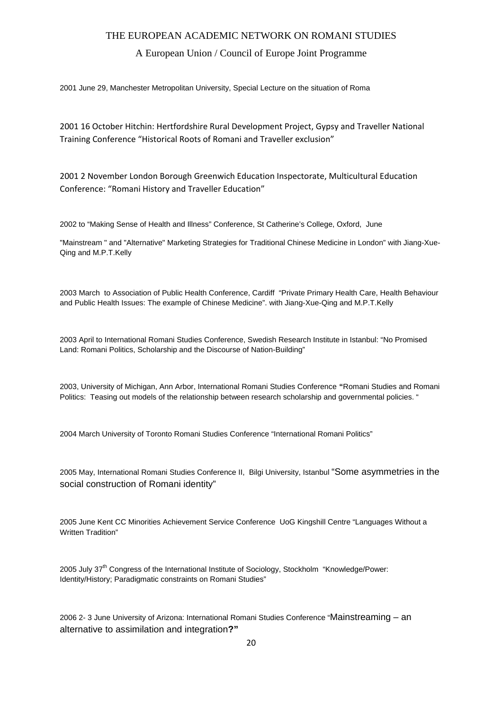## A European Union / Council of Europe Joint Programme

2001 June 29, Manchester Metropolitan University, Special Lecture on the situation of Roma

2001 16 October Hitchin: Hertfordshire Rural Development Project, Gypsy and Traveller National Training Conference "Historical Roots of Romani and Traveller exclusion"

2001 2 November London Borough Greenwich Education Inspectorate, Multicultural Education Conference: "Romani History and Traveller Education"

2002 to "Making Sense of Health and Illness" Conference, St Catherine's College, Oxford, June

"Mainstream " and "Alternative" Marketing Strategies for Traditional Chinese Medicine in London" with Jiang-Xue-Qing and M.P.T.Kelly

2003 March to Association of Public Health Conference, Cardiff "Private Primary Health Care, Health Behaviour and Public Health Issues: The example of Chinese Medicine". with Jiang-Xue-Qing and M.P.T.Kelly

2003 April to International Romani Studies Conference, Swedish Research Institute in Istanbul: "No Promised Land: Romani Politics, Scholarship and the Discourse of Nation-Building"

2003, University of Michigan, Ann Arbor, International Romani Studies Conference **"**Romani Studies and Romani Politics: Teasing out models of the relationship between research scholarship and governmental policies. "

2004 March University of Toronto Romani Studies Conference "International Romani Politics"

2005 May, International Romani Studies Conference II, Bilgi University, Istanbul "Some asymmetries in the social construction of Romani identity"

2005 June Kent CC Minorities Achievement Service Conference UoG Kingshill Centre "Languages Without a Written Tradition"

2005 July 37<sup>th</sup> Congress of the International Institute of Sociology, Stockholm "Knowledge/Power: Identity/History; Paradigmatic constraints on Romani Studies"

2006 2- 3 June University of Arizona: International Romani Studies Conference "Mainstreaming – an alternative to assimilation and integration**?"**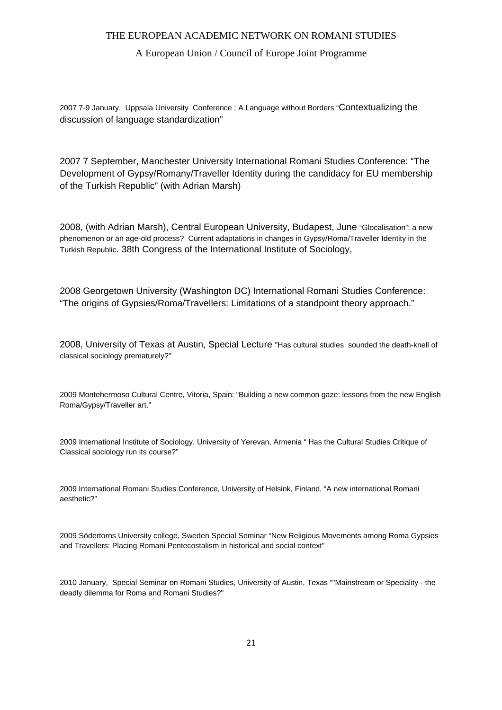#### A European Union / Council of Europe Joint Programme

2007 7-9 January, Uppsala University Conference : A Language without Borders "Contextualizing the discussion of language standardization"

2007 7 September, Manchester University International Romani Studies Conference: "The Development of Gypsy/Romany/Traveller Identity during the candidacy for EU membership of the Turkish Republic" (with Adrian Marsh)

2008, (with Adrian Marsh), Central European University, Budapest, June "Glocalisation": a new phenomenon or an age-old process? Current adaptations in changes in Gypsy/Roma/Traveller Identity in the Turkish Republic. 38th Congress of the International Institute of Sociology,

2008 Georgetown University (Washington DC) International Romani Studies Conference: "The origins of Gypsies/Roma/Travellers: Limitations of a standpoint theory approach."

2008, University of Texas at Austin, Special Lecture "Has cultural studies sounded the death-knell of classical sociology prematurely?"

2009 Montehermoso Cultural Centre, Vitoria, Spain: "Building a new common gaze: lessons from the new English Roma/Gypsy/Traveller art."

2009 International Institute of Sociology, University of Yerevan, Armenia " Has the Cultural Studies Critique of Classical sociology run its course?"

2009 International Romani Studies Conference, University of Helsink, Finland, "A new international Romani aesthetic?"

2009 Södertorns University college, Sweden Special Seminar "New Religious Movements among Roma Gypsies and Travellers: Placing Romani Pentecostalism in historical and social context"

2010 January, Special Seminar on Romani Studies, University of Austin, Texas ""Mainstream or Speciality - the deadly dilemma for Roma and Romani Studies?"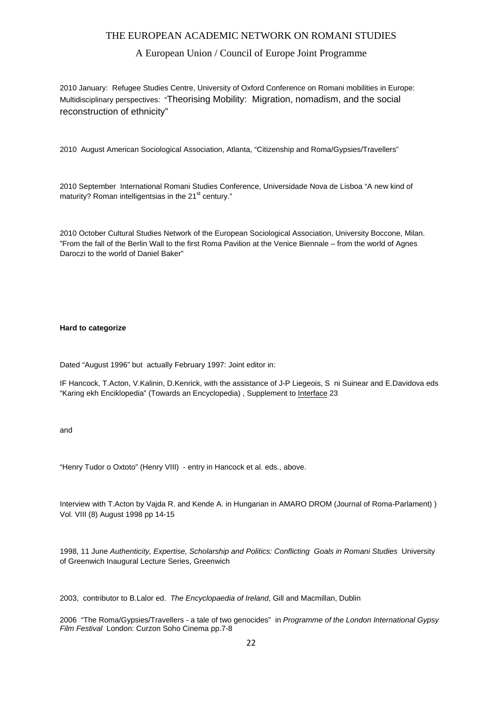### A European Union / Council of Europe Joint Programme

2010 January: Refugee Studies Centre, University of Oxford Conference on Romani mobilities in Europe: Multidisciplinary perspectives: "Theorising Mobility: Migration, nomadism, and the social reconstruction of ethnicity"

2010 August American Sociological Association, Atlanta, "Citizenship and Roma/Gypsies/Travellers"

2010 September International Romani Studies Conference, Universidade Nova de Lisboa "A new kind of maturity? Roman intelligentsias in the  $21<sup>st</sup>$  century."

2010 October Cultural Studies Network of the European Sociological Association, University Boccone, Milan. "From the fall of the Berlin Wall to the first Roma Pavilion at the Venice Biennale – from the world of Agnes Daroczi to the world of Daniel Baker"

#### **Hard to categorize**

Dated "August 1996" but actually February 1997: Joint editor in:

IF Hancock, T.Acton, V.Kalinin, D.Kenrick, with the assistance of J-P Liegeois, S ni Suinear and E.Davidova eds "Karing ekh Enciklopedia" (Towards an Encyclopedia), Supplement to Interface 23

and

"Henry Tudor o Oxtoto" (Henry VIII) - entry in Hancock et al. eds., above.

Interview with T.Acton by Vajda R. and Kende A. in Hungarian in AMARO DROM (Journal of Roma-Parlament) ) Vol. VIII (8) August 1998 pp 14-15

1998, 11 June *Authenticity, Expertise, Scholarship and Politics: Conflicting Goals in Romani Studies* University of Greenwich Inaugural Lecture Series, Greenwich

2003, contributor to B.Lalor ed. *The Encyclopaedia of Ireland*, Gill and Macmillan, Dublin

2006 "The Roma/Gypsies/Travellers - a tale of two genocides" in *Programme of the London International Gypsy Film Festival* London: Curzon Soho Cinema pp.7-8